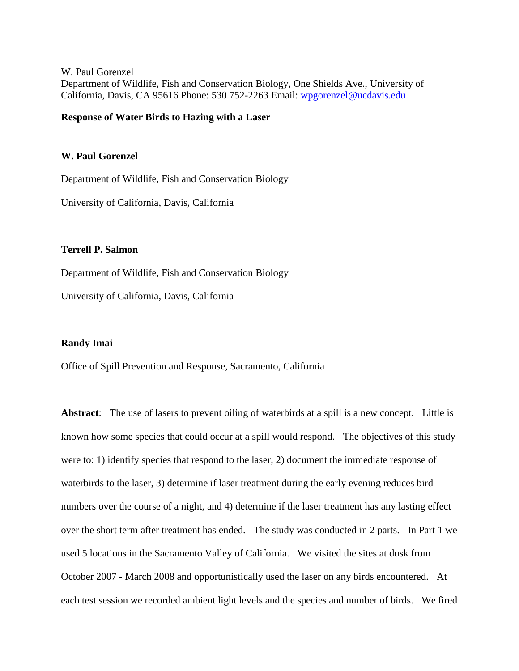W. Paul Gorenzel Department of Wildlife, Fish and Conservation Biology, One Shields Ave., University of California, Davis, CA 95616 Phone: 530 752-2263 Email: wpgorenzel@ucdavis.edu

## **Response of Water Birds to Hazing with a Laser**

## **W. Paul Gorenzel**

Department of Wildlife, Fish and Conservation Biology

University of California, Davis, California

## **Terrell P. Salmon**

Department of Wildlife, Fish and Conservation Biology

University of California, Davis, California

#### **Randy Imai**

Office of Spill Prevention and Response, Sacramento, California

**Abstract**: The use of lasers to prevent oiling of waterbirds at a spill is a new concept. Little is known how some species that could occur at a spill would respond. The objectives of this study were to: 1) identify species that respond to the laser, 2) document the immediate response of waterbirds to the laser, 3) determine if laser treatment during the early evening reduces bird numbers over the course of a night, and 4) determine if the laser treatment has any lasting effect over the short term after treatment has ended. The study was conducted in 2 parts. In Part 1 we used 5 locations in the Sacramento Valley of California. We visited the sites at dusk from October 2007 - March 2008 and opportunistically used the laser on any birds encountered. At each test session we recorded ambient light levels and the species and number of birds. We fired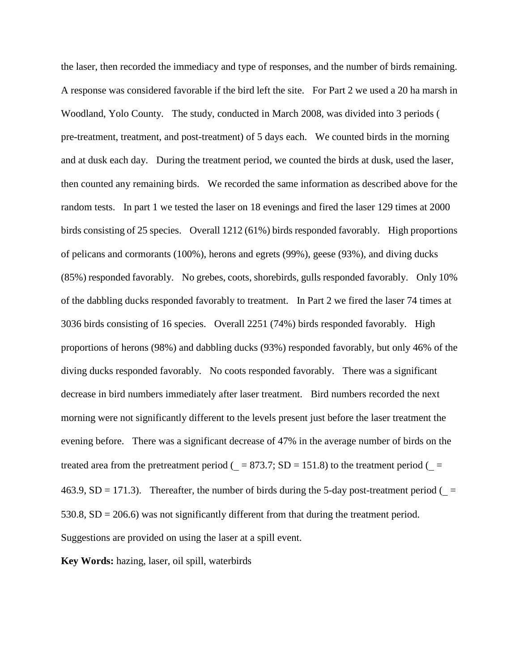the laser, then recorded the immediacy and type of responses, and the number of birds remaining. A response was considered favorable if the bird left the site. For Part 2 we used a 20 ha marsh in Woodland, Yolo County. The study, conducted in March 2008, was divided into 3 periods ( pre-treatment, treatment, and post-treatment) of 5 days each. We counted birds in the morning and at dusk each day. During the treatment period, we counted the birds at dusk, used the laser, then counted any remaining birds. We recorded the same information as described above for the random tests. In part 1 we tested the laser on 18 evenings and fired the laser 129 times at 2000 birds consisting of 25 species. Overall 1212 (61%) birds responded favorably. High proportions of pelicans and cormorants (100%), herons and egrets (99%), geese (93%), and diving ducks (85%) responded favorably. No grebes, coots, shorebirds, gulls responded favorably. Only 10% of the dabbling ducks responded favorably to treatment. In Part 2 we fired the laser 74 times at 3036 birds consisting of 16 species. Overall 2251 (74%) birds responded favorably. High proportions of herons (98%) and dabbling ducks (93%) responded favorably, but only 46% of the diving ducks responded favorably. No coots responded favorably. There was a significant decrease in bird numbers immediately after laser treatment. Bird numbers recorded the next morning were not significantly different to the levels present just before the laser treatment the evening before. There was a significant decrease of 47% in the average number of birds on the treated area from the pretreatment period ( $= 873.7$ ; SD = 151.8) to the treatment period ( $=$ 463.9, SD = 171.3). Thereafter, the number of birds during the 5-day post-treatment period ( $=$  $530.8$ ,  $SD = 206.6$ ) was not significantly different from that during the treatment period. Suggestions are provided on using the laser at a spill event.

**Key Words:** hazing, laser, oil spill, waterbirds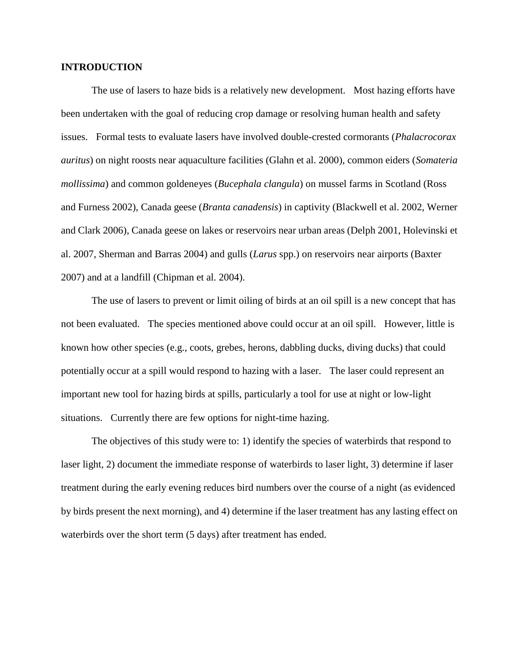## **INTRODUCTION**

The use of lasers to haze bids is a relatively new development. Most hazing efforts have been undertaken with the goal of reducing crop damage or resolving human health and safety issues. Formal tests to evaluate lasers have involved double-crested cormorants (*Phalacrocorax auritus*) on night roosts near aquaculture facilities (Glahn et al. 2000), common eiders (*Somateria mollissima*) and common goldeneyes (*Bucephala clangula*) on mussel farms in Scotland (Ross and Furness 2002), Canada geese (*Branta canadensis*) in captivity (Blackwell et al. 2002, Werner and Clark 2006), Canada geese on lakes or reservoirs near urban areas (Delph 2001, Holevinski et al. 2007, Sherman and Barras 2004) and gulls (*Larus* spp.) on reservoirs near airports (Baxter 2007) and at a landfill (Chipman et al. 2004).

The use of lasers to prevent or limit oiling of birds at an oil spill is a new concept that has not been evaluated. The species mentioned above could occur at an oil spill. However, little is known how other species (e.g., coots, grebes, herons, dabbling ducks, diving ducks) that could potentially occur at a spill would respond to hazing with a laser. The laser could represent an important new tool for hazing birds at spills, particularly a tool for use at night or low-light situations. Currently there are few options for night-time hazing.

The objectives of this study were to: 1) identify the species of waterbirds that respond to laser light, 2) document the immediate response of waterbirds to laser light, 3) determine if laser treatment during the early evening reduces bird numbers over the course of a night (as evidenced by birds present the next morning), and 4) determine if the laser treatment has any lasting effect on waterbirds over the short term (5 days) after treatment has ended.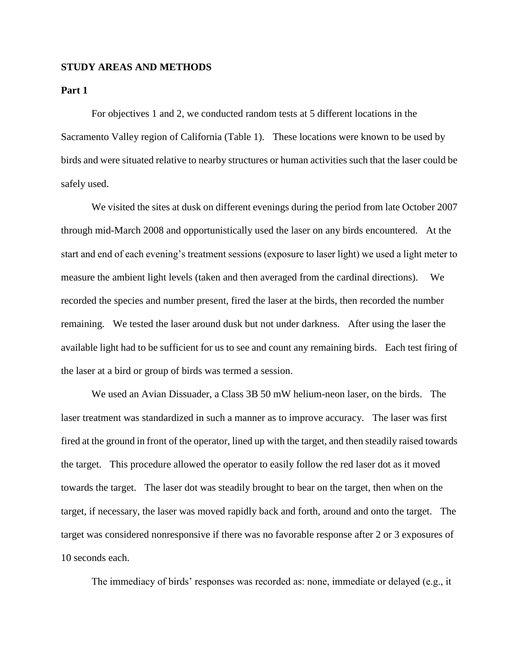## **STUDY AREAS AND METHODS**

## **Part 1**

For objectives 1 and 2, we conducted random tests at 5 different locations in the Sacramento Valley region of California (Table 1). These locations were known to be used by birds and were situated relative to nearby structures or human activities such that the laser could be safely used.

We visited the sites at dusk on different evenings during the period from late October 2007 through mid-March 2008 and opportunistically used the laser on any birds encountered. At the start and end of each evening's treatment sessions (exposure to laser light) we used a light meter to measure the ambient light levels (taken and then averaged from the cardinal directions). We recorded the species and number present, fired the laser at the birds, then recorded the number remaining. We tested the laser around dusk but not under darkness. After using the laser the available light had to be sufficient for us to see and count any remaining birds. Each test firing of the laser at a bird or group of birds was termed a session.

We used an Avian Dissuader, a Class 3B 50 mW helium-neon laser, on the birds. The laser treatment was standardized in such a manner as to improve accuracy. The laser was first fired at the ground in front of the operator, lined up with the target, and then steadily raised towards the target. This procedure allowed the operator to easily follow the red laser dot as it moved towards the target. The laser dot was steadily brought to bear on the target, then when on the target, if necessary, the laser was moved rapidly back and forth, around and onto the target. The target was considered nonresponsive if there was no favorable response after 2 or 3 exposures of 10 seconds each.

The immediacy of birds' responses was recorded as: none, immediate or delayed (e.g., it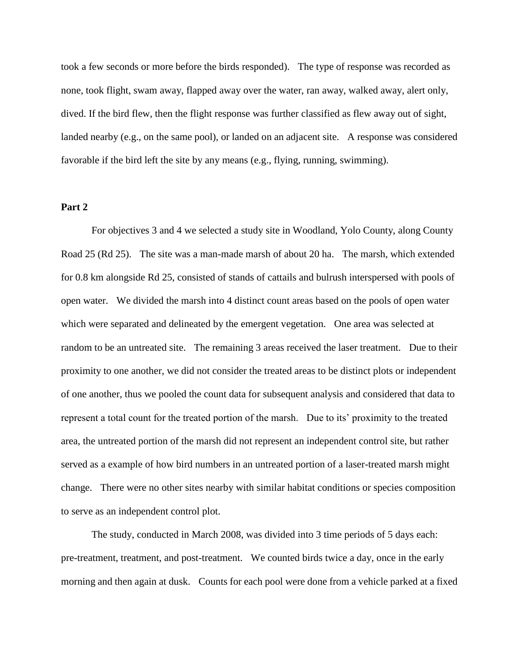took a few seconds or more before the birds responded). The type of response was recorded as none, took flight, swam away, flapped away over the water, ran away, walked away, alert only, dived. If the bird flew, then the flight response was further classified as flew away out of sight, landed nearby (e.g., on the same pool), or landed on an adjacent site. A response was considered favorable if the bird left the site by any means (e.g., flying, running, swimming).

## **Part 2**

For objectives 3 and 4 we selected a study site in Woodland, Yolo County, along County Road 25 (Rd 25). The site was a man-made marsh of about 20 ha. The marsh, which extended for 0.8 km alongside Rd 25, consisted of stands of cattails and bulrush interspersed with pools of open water. We divided the marsh into 4 distinct count areas based on the pools of open water which were separated and delineated by the emergent vegetation. One area was selected at random to be an untreated site. The remaining 3 areas received the laser treatment. Due to their proximity to one another, we did not consider the treated areas to be distinct plots or independent of one another, thus we pooled the count data for subsequent analysis and considered that data to represent a total count for the treated portion of the marsh. Due to its' proximity to the treated area, the untreated portion of the marsh did not represent an independent control site, but rather served as a example of how bird numbers in an untreated portion of a laser-treated marsh might change. There were no other sites nearby with similar habitat conditions or species composition to serve as an independent control plot.

The study, conducted in March 2008, was divided into 3 time periods of 5 days each: pre-treatment, treatment, and post-treatment. We counted birds twice a day, once in the early morning and then again at dusk. Counts for each pool were done from a vehicle parked at a fixed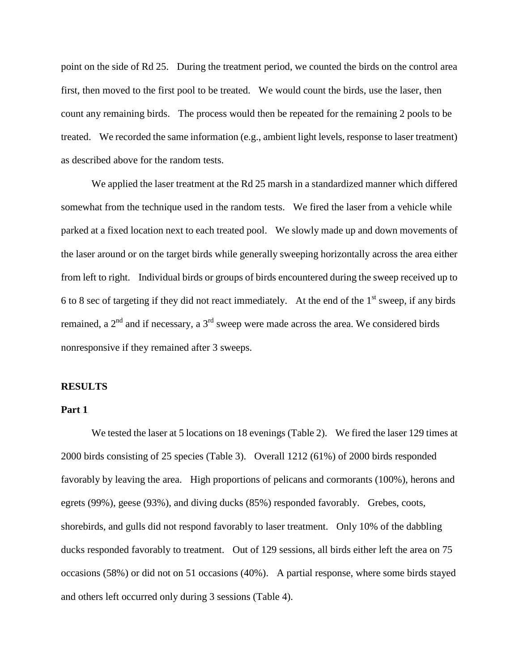point on the side of Rd 25. During the treatment period, we counted the birds on the control area first, then moved to the first pool to be treated. We would count the birds, use the laser, then count any remaining birds. The process would then be repeated for the remaining 2 pools to be treated. We recorded the same information (e.g., ambient light levels, response to laser treatment) as described above for the random tests.

We applied the laser treatment at the Rd 25 marsh in a standardized manner which differed somewhat from the technique used in the random tests. We fired the laser from a vehicle while parked at a fixed location next to each treated pool. We slowly made up and down movements of the laser around or on the target birds while generally sweeping horizontally across the area either from left to right. Individual birds or groups of birds encountered during the sweep received up to 6 to 8 sec of targeting if they did not react immediately. At the end of the  $1<sup>st</sup>$  sweep, if any birds remained, a  $2<sup>nd</sup>$  and if necessary, a  $3<sup>rd</sup>$  sweep were made across the area. We considered birds nonresponsive if they remained after 3 sweeps.

## **RESULTS**

## **Part 1**

We tested the laser at 5 locations on 18 evenings (Table 2). We fired the laser 129 times at 2000 birds consisting of 25 species (Table 3). Overall 1212 (61%) of 2000 birds responded favorably by leaving the area. High proportions of pelicans and cormorants (100%), herons and egrets (99%), geese (93%), and diving ducks (85%) responded favorably. Grebes, coots, shorebirds, and gulls did not respond favorably to laser treatment. Only 10% of the dabbling ducks responded favorably to treatment. Out of 129 sessions, all birds either left the area on 75 occasions (58%) or did not on 51 occasions (40%). A partial response, where some birds stayed and others left occurred only during 3 sessions (Table 4).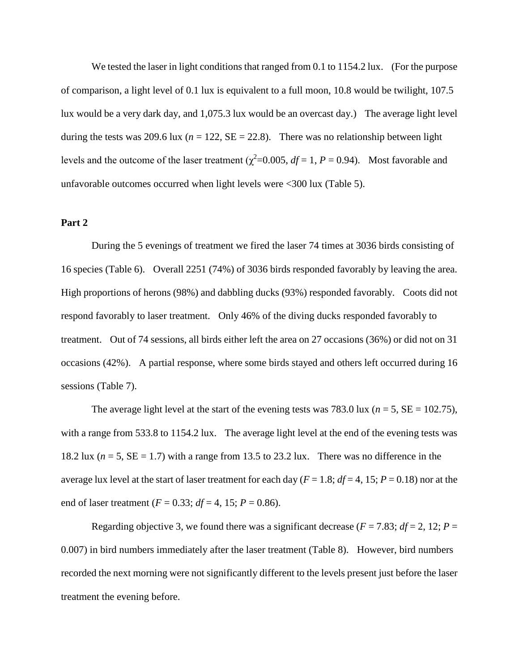We tested the laser in light conditions that ranged from 0.1 to 1154.2 lux. (For the purpose of comparison, a light level of 0.1 lux is equivalent to a full moon, 10.8 would be twilight, 107.5 lux would be a very dark day, and 1,075.3 lux would be an overcast day.) The average light level during the tests was 209.6 lux ( $n = 122$ ,  $SE = 22.8$ ). There was no relationship between light levels and the outcome of the laser treatment ( $\chi^2$ =0.005, *df* = 1, *P* = 0.94). Most favorable and unfavorable outcomes occurred when light levels were <300 lux (Table 5).

#### **Part 2**

During the 5 evenings of treatment we fired the laser 74 times at 3036 birds consisting of 16 species (Table 6). Overall 2251 (74%) of 3036 birds responded favorably by leaving the area. High proportions of herons (98%) and dabbling ducks (93%) responded favorably. Coots did not respond favorably to laser treatment. Only 46% of the diving ducks responded favorably to treatment. Out of 74 sessions, all birds either left the area on 27 occasions (36%) or did not on 31 occasions (42%). A partial response, where some birds stayed and others left occurred during 16 sessions (Table 7).

The average light level at the start of the evening tests was 783.0 lux ( $n = 5$ , SE = 102.75), with a range from 533.8 to 1154.2 lux. The average light level at the end of the evening tests was 18.2 lux ( $n = 5$ ,  $SE = 1.7$ ) with a range from 13.5 to 23.2 lux. There was no difference in the average lux level at the start of laser treatment for each day ( $F = 1.8$ ;  $df = 4$ , 15;  $P = 0.18$ ) nor at the end of laser treatment ( $F = 0.33$ ;  $df = 4$ , 15;  $P = 0.86$ ).

Regarding objective 3, we found there was a significant decrease ( $F = 7.83$ ;  $df = 2$ , 12;  $P =$ 0.007) in bird numbers immediately after the laser treatment (Table 8). However, bird numbers recorded the next morning were not significantly different to the levels present just before the laser treatment the evening before.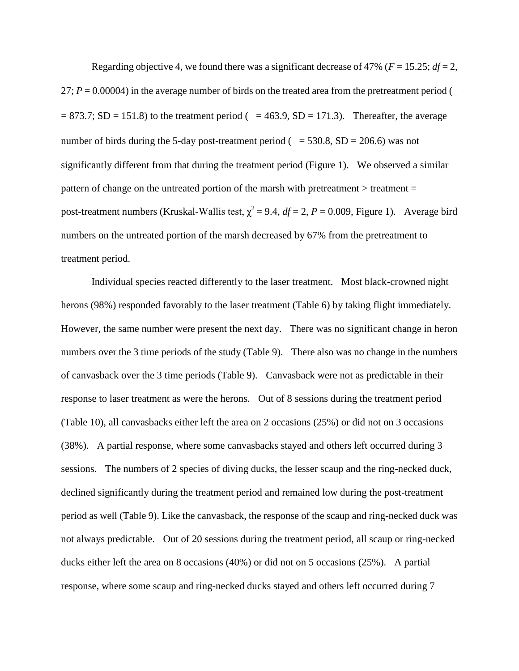Regarding objective 4, we found there was a significant decrease of 47% ( $F = 15.25$ ;  $df = 2$ , 27;  $P = 0.00004$ ) in the average number of birds on the treated area from the pretreatment period (  $= 873.7$ ; SD = 151.8) to the treatment period ( = 463.9, SD = 171.3). Thereafter, the average number of birds during the 5-day post-treatment period ( $= 530.8$ , SD = 206.6) was not significantly different from that during the treatment period (Figure 1). We observed a similar pattern of change on the untreated portion of the marsh with pretreatment > treatment = post-treatment numbers (Kruskal-Wallis test,  $\chi^2 = 9.4$ ,  $df = 2$ ,  $P = 0.009$ , Figure 1). Average bird numbers on the untreated portion of the marsh decreased by 67% from the pretreatment to treatment period.

Individual species reacted differently to the laser treatment. Most black-crowned night herons (98%) responded favorably to the laser treatment (Table 6) by taking flight immediately. However, the same number were present the next day. There was no significant change in heron numbers over the 3 time periods of the study (Table 9). There also was no change in the numbers of canvasback over the 3 time periods (Table 9). Canvasback were not as predictable in their response to laser treatment as were the herons. Out of 8 sessions during the treatment period (Table 10), all canvasbacks either left the area on 2 occasions (25%) or did not on 3 occasions (38%). A partial response, where some canvasbacks stayed and others left occurred during 3 sessions. The numbers of 2 species of diving ducks, the lesser scaup and the ring-necked duck, declined significantly during the treatment period and remained low during the post-treatment period as well (Table 9). Like the canvasback, the response of the scaup and ring-necked duck was not always predictable. Out of 20 sessions during the treatment period, all scaup or ring-necked ducks either left the area on 8 occasions (40%) or did not on 5 occasions (25%). A partial response, where some scaup and ring-necked ducks stayed and others left occurred during 7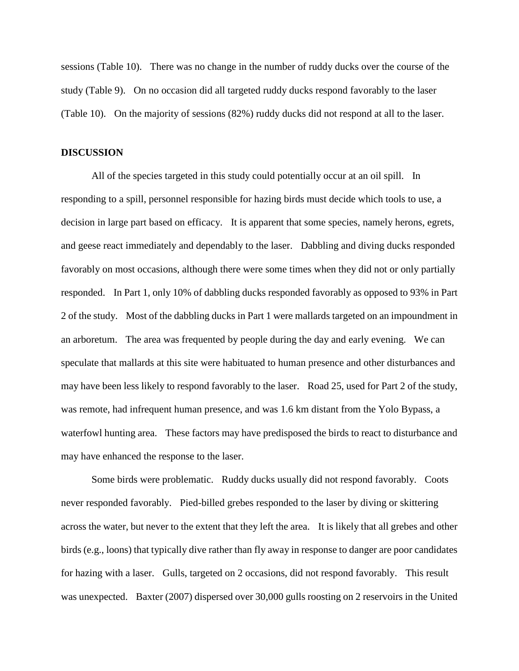sessions (Table 10). There was no change in the number of ruddy ducks over the course of the study (Table 9). On no occasion did all targeted ruddy ducks respond favorably to the laser (Table 10). On the majority of sessions (82%) ruddy ducks did not respond at all to the laser.

#### **DISCUSSION**

All of the species targeted in this study could potentially occur at an oil spill. In responding to a spill, personnel responsible for hazing birds must decide which tools to use, a decision in large part based on efficacy. It is apparent that some species, namely herons, egrets, and geese react immediately and dependably to the laser. Dabbling and diving ducks responded favorably on most occasions, although there were some times when they did not or only partially responded. In Part 1, only 10% of dabbling ducks responded favorably as opposed to 93% in Part 2 of the study. Most of the dabbling ducks in Part 1 were mallards targeted on an impoundment in an arboretum. The area was frequented by people during the day and early evening. We can speculate that mallards at this site were habituated to human presence and other disturbances and may have been less likely to respond favorably to the laser. Road 25, used for Part 2 of the study, was remote, had infrequent human presence, and was 1.6 km distant from the Yolo Bypass, a waterfowl hunting area. These factors may have predisposed the birds to react to disturbance and may have enhanced the response to the laser.

Some birds were problematic. Ruddy ducks usually did not respond favorably. Coots never responded favorably. Pied-billed grebes responded to the laser by diving or skittering across the water, but never to the extent that they left the area. It is likely that all grebes and other birds (e.g., loons) that typically dive rather than fly away in response to danger are poor candidates for hazing with a laser. Gulls, targeted on 2 occasions, did not respond favorably. This result was unexpected. Baxter (2007) dispersed over 30,000 gulls roosting on 2 reservoirs in the United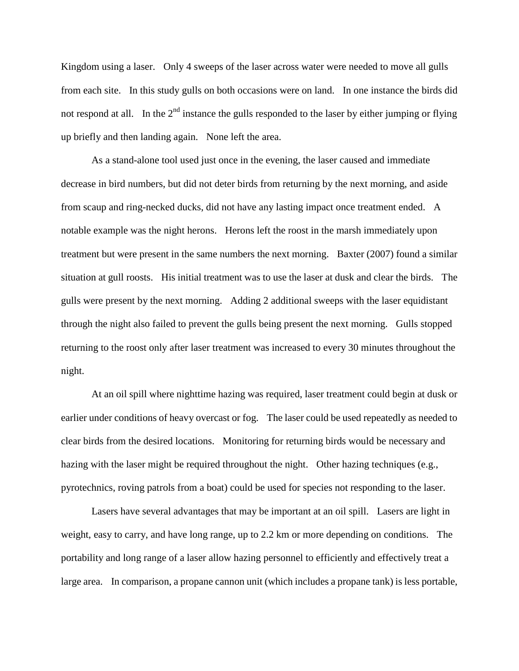Kingdom using a laser. Only 4 sweeps of the laser across water were needed to move all gulls from each site. In this study gulls on both occasions were on land. In one instance the birds did not respond at all. In the  $2<sup>nd</sup>$  instance the gulls responded to the laser by either jumping or flying up briefly and then landing again. None left the area.

As a stand-alone tool used just once in the evening, the laser caused and immediate decrease in bird numbers, but did not deter birds from returning by the next morning, and aside from scaup and ring-necked ducks, did not have any lasting impact once treatment ended. A notable example was the night herons. Herons left the roost in the marsh immediately upon treatment but were present in the same numbers the next morning. Baxter (2007) found a similar situation at gull roosts. His initial treatment was to use the laser at dusk and clear the birds. The gulls were present by the next morning. Adding 2 additional sweeps with the laser equidistant through the night also failed to prevent the gulls being present the next morning. Gulls stopped returning to the roost only after laser treatment was increased to every 30 minutes throughout the night.

At an oil spill where nighttime hazing was required, laser treatment could begin at dusk or earlier under conditions of heavy overcast or fog. The laser could be used repeatedly as needed to clear birds from the desired locations. Monitoring for returning birds would be necessary and hazing with the laser might be required throughout the night. Other hazing techniques (e.g., pyrotechnics, roving patrols from a boat) could be used for species not responding to the laser.

Lasers have several advantages that may be important at an oil spill. Lasers are light in weight, easy to carry, and have long range, up to 2.2 km or more depending on conditions. The portability and long range of a laser allow hazing personnel to efficiently and effectively treat a large area. In comparison, a propane cannon unit (which includes a propane tank) is less portable,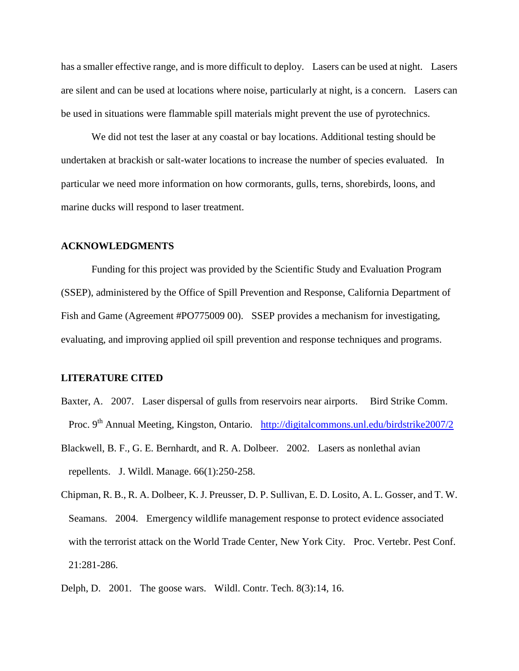has a smaller effective range, and is more difficult to deploy. Lasers can be used at night. Lasers are silent and can be used at locations where noise, particularly at night, is a concern. Lasers can be used in situations were flammable spill materials might prevent the use of pyrotechnics.

We did not test the laser at any coastal or bay locations. Additional testing should be undertaken at brackish or salt-water locations to increase the number of species evaluated. In particular we need more information on how cormorants, gulls, terns, shorebirds, loons, and marine ducks will respond to laser treatment.

#### **ACKNOWLEDGMENTS**

Funding for this project was provided by the Scientific Study and Evaluation Program (SSEP), administered by the Office of Spill Prevention and Response, California Department of Fish and Game (Agreement #PO775009 00). SSEP provides a mechanism for investigating, evaluating, and improving applied oil spill prevention and response techniques and programs.

## **LITERATURE CITED**

- Baxter, A. 2007. Laser dispersal of gulls from reservoirs near airports. Bird Strike Comm. Proc. 9<sup>th</sup> Annual Meeting, Kingston, Ontario. http://digitalcommons.unl.edu/birdstrike2007/2
- Blackwell, B. F., G. E. Bernhardt, and R. A. Dolbeer. 2002. Lasers as nonlethal avian repellents. J. Wildl. Manage. 66(1):250-258.
- Chipman, R. B., R. A. Dolbeer, K. J. Preusser, D. P. Sullivan, E. D. Losito, A. L. Gosser, and T. W. Seamans. 2004. Emergency wildlife management response to protect evidence associated with the terrorist attack on the World Trade Center, New York City. Proc. Vertebr. Pest Conf. 21:281-286.
- Delph, D. 2001. The goose wars. Wildl. Contr. Tech. 8(3):14, 16.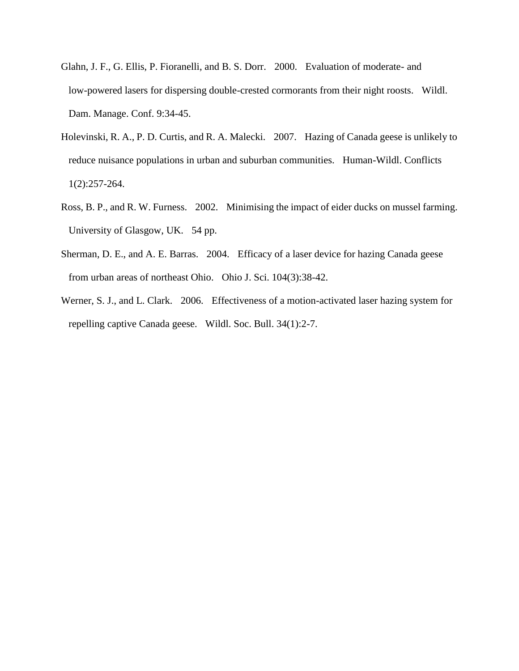- Glahn, J. F., G. Ellis, P. Fioranelli, and B. S. Dorr. 2000. Evaluation of moderate- and low-powered lasers for dispersing double-crested cormorants from their night roosts. Wildl. Dam. Manage. Conf. 9:34-45.
- Holevinski, R. A., P. D. Curtis, and R. A. Malecki. 2007. Hazing of Canada geese is unlikely to reduce nuisance populations in urban and suburban communities. Human-Wildl. Conflicts 1(2):257-264.
- Ross, B. P., and R. W. Furness. 2002. Minimising the impact of eider ducks on mussel farming. University of Glasgow, UK. 54 pp.
- Sherman, D. E., and A. E. Barras. 2004. Efficacy of a laser device for hazing Canada geese from urban areas of northeast Ohio. Ohio J. Sci. 104(3):38-42.
- Werner, S. J., and L. Clark. 2006. Effectiveness of a motion-activated laser hazing system for repelling captive Canada geese. Wildl. Soc. Bull. 34(1):2-7.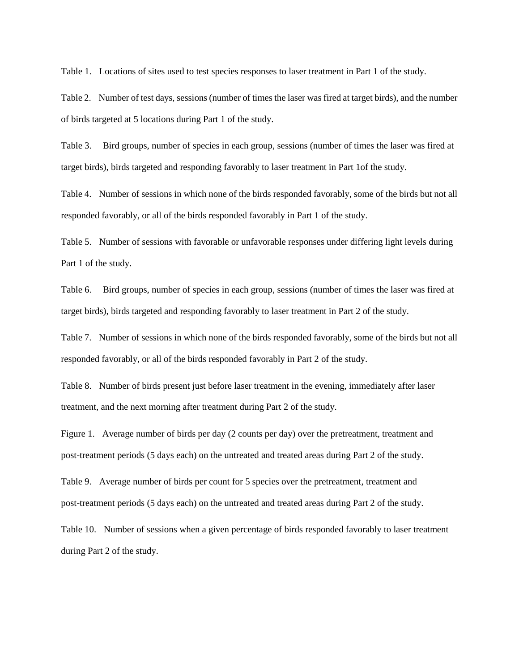Table 1. Locations of sites used to test species responses to laser treatment in Part 1 of the study.

Table 2. Number of test days, sessions (number of times the laser was fired at target birds), and the number of birds targeted at 5 locations during Part 1 of the study.

Table 3. Bird groups, number of species in each group, sessions (number of times the laser was fired at target birds), birds targeted and responding favorably to laser treatment in Part 1of the study.

Table 4. Number of sessions in which none of the birds responded favorably, some of the birds but not all responded favorably, or all of the birds responded favorably in Part 1 of the study.

Table 5. Number of sessions with favorable or unfavorable responses under differing light levels during Part 1 of the study.

Table 6. Bird groups, number of species in each group, sessions (number of times the laser was fired at target birds), birds targeted and responding favorably to laser treatment in Part 2 of the study.

Table 7. Number of sessions in which none of the birds responded favorably, some of the birds but not all responded favorably, or all of the birds responded favorably in Part 2 of the study.

Table 8. Number of birds present just before laser treatment in the evening, immediately after laser treatment, and the next morning after treatment during Part 2 of the study.

Figure 1. Average number of birds per day (2 counts per day) over the pretreatment, treatment and post-treatment periods (5 days each) on the untreated and treated areas during Part 2 of the study.

Table 9. Average number of birds per count for 5 species over the pretreatment, treatment and post-treatment periods (5 days each) on the untreated and treated areas during Part 2 of the study.

Table 10. Number of sessions when a given percentage of birds responded favorably to laser treatment during Part 2 of the study.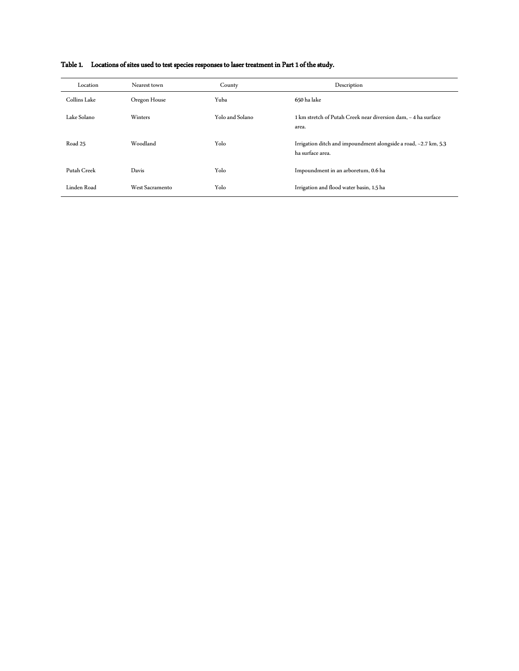| Location     | Nearest town    | County          | Description                                                                         |
|--------------|-----------------|-----------------|-------------------------------------------------------------------------------------|
| Collins Lake | Oregon House    | Yuba            | 650 ha lake                                                                         |
| Lake Solano  | <b>Winters</b>  | Yolo and Solano | 1 km stretch of Putah Creek near diversion dam, ~ 4 ha surface<br>area.             |
| Road 25      | Woodland        | Yolo            | Irrigation ditch and impoundment alongside a road, ~2.7 km, 5.3<br>ha surface area. |
| Putah Creek  | Davis           | Yolo            | Impoundment in an arboretum, 0.6 ha                                                 |
| Linden Road  | West Sacramento | Yolo            | Irrigation and flood water basin, 1.5 ha                                            |

## Table 1. Locations of sites used to test species responses to laser treatment in Part 1 of the study.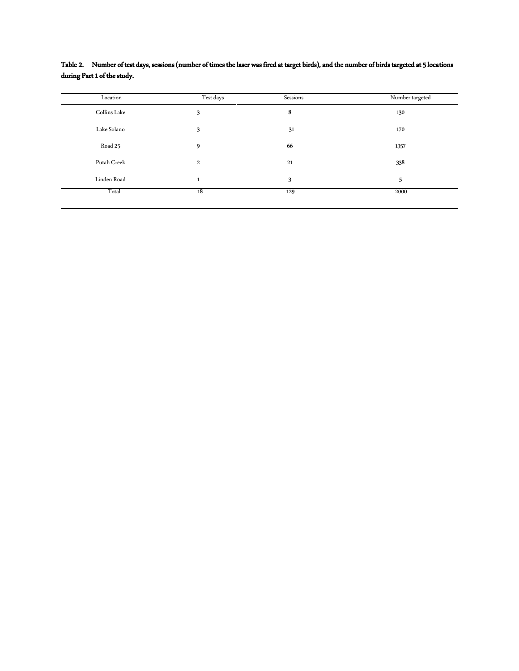| Location     | Test days    | Sessions | Number targeted |
|--------------|--------------|----------|-----------------|
| Collins Lake | 3            | 8        | 130             |
| Lake Solano  | 3            | 31       | 170             |
| Road 25      | 9            | 66       | 1357            |
| Putah Creek  | 2            | 21       | 338             |
| Linden Road  | $\mathbf{1}$ | 3        | 5               |
| Total        | 18           | 129      | 2000            |

Table 2. Number of test days, sessions (number of times the laser was fired at target birds), and the number of birds targeted at 5 locations during Part 1 of the study.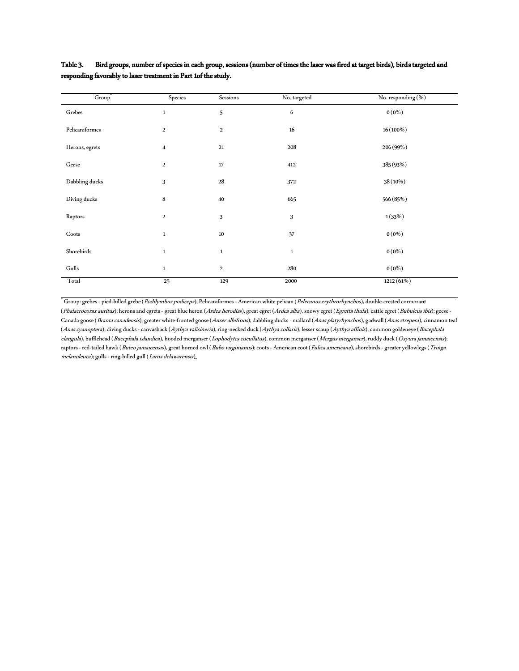| $\overline{Group}^*$ | Species                 | Sessions         | No. targeted | No. responding (%) |
|----------------------|-------------------------|------------------|--------------|--------------------|
| Grebes               | $\mathbf{1}$            | 5                | 6            | $0(0\%)$           |
| Pelicaniformes       | $\overline{2}$          | $\,2$            | $16\,$       | $16(100\%)$        |
| Herons, egrets       | $\overline{\mathbf{4}}$ | 21               | 208          | 206 (99%)          |
| Geese                | $\boldsymbol{2}$        | 17               | 412          | 385 (93%)          |
| Dabbling ducks       | 3                       | ${\bf 28}$       | 372          | 38 (10%)           |
| Diving ducks         | 8                       | 40               | 665          | 566 (85%)          |
| Raptors              | $\overline{2}$          | 3                | 3            | 1(33%)             |
| Coots                | $\,1\,$                 | $10\,$           | 37           | $0(0\%)$           |
| Shorebirds           | $\mathbf{1}$            | $\,1$            | $\,1\,$      | $0(0\%)$           |
| Gulls                | $1\,$                   | $\boldsymbol{2}$ | 280          | $0(0\%)$           |
| Total                | 25                      | 129              | 2000         | 1212(61%)          |

Table 3. Bird groups, number of species in each group, sessions (number of times the laser was fired at target birds), birds targeted and responding favorably to laser treatment in Part 1of the study.

a<br><sup>a</sup> Group: grebes - pied-billed grebe (*Podilymbus podiceps*); Pelicaniformes - American white pelican (*Pelecanus erythrorhynchos*), double-crested cormorant (Phalacrocorax auritus); herons and egrets - great blue heron (Ardea herodias), great egret (Ardea alba), snowy egret (Egretta thula), cattle egret (Bubulcus ibis); geese -Canada goose (Branta canadensis), greater white-fronted goose (Anser albifrons); dabbling ducks - mallard (Anas platyrhynchos), gadwall (Anas strepera), cinnamon teal (Anas cyanoptera); diving ducks - canvasback (Aythya valisineria), ring-necked duck (Aythya collaris), lesser scaup (Aythya affinis), common goldeneye (Bucephala clangula), bufflehead (Bucephala islandica), hooded merganser (Lophodytes cucullatus), common merganser (Mergus merganser), ruddy duck (Oxyura jamaicensis); raptors - red-tailed hawk (Buteo jamaicensis), great horned owl (Bubo virginianus); coots - American coot (Fulica americana), shorebirds - greater yellowlegs (Tringa melanoleuca); gulls - ring-billed gull (Larus delawarensis).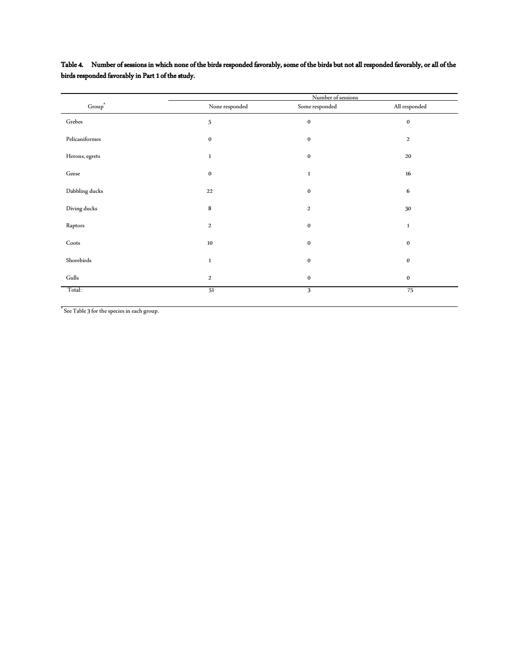|                    |                  | Number of sessions |               |
|--------------------|------------------|--------------------|---------------|
| Group <sup>a</sup> | None responded   | Some responded     | All responded |
| $\rm Grebes$       | 5                | $\bf{0}$           | $\pmb{0}$     |
| Pelicaniformes     | $\bf{0}$         | $\bf{0}$           | $\,2$         |
| Herons, egrets     | $\mathbf{1}$     | $\bf{0}$           | 20            |
| $\rm{Geese}$       | $\bf{0}$         | $\mathbf{1}$       | $16\,$        |
| Dabbling ducks     | 22               | $\bf{0}$           | 6             |
| Diving ducks       | 8                | $\boldsymbol{2}$   | 30            |
| Raptors            | $\boldsymbol{2}$ | $\bf{0}$           | $\mathbf 1$   |
| Coots              | 10               | $\bf{0}$           | $\bf{0}$      |
| Shorebirds         | $\mathbf{1}$     | $\bf{0}$           | $\bf{0}$      |
| Gulls              | 2                | $\bf{0}$           | $\bf{0}$      |
| Total:             | 51               | 3                  | 75            |

## Table 4. Number of sessions in which none of the birds responded favorably, some of the birds but not all responded favorably, or all of the birds responded favorably in Part 1 of the study.

**"** See Table 3 for the species in each group.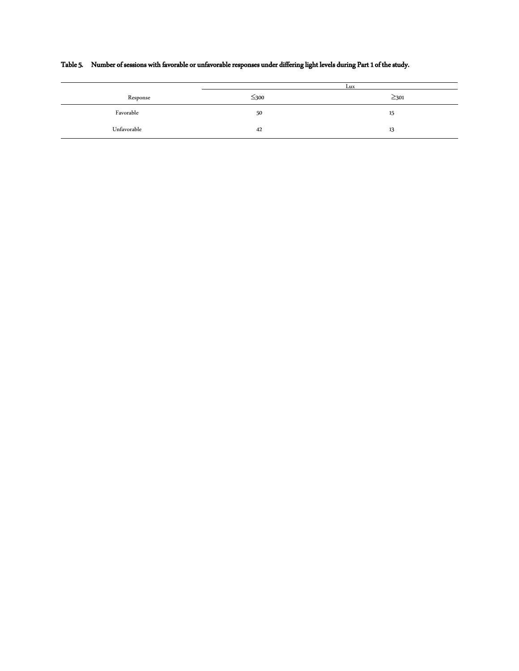|             |            | Lux        |
|-------------|------------|------------|
| Response    | $\leq$ 300 | $\geq$ 301 |
| Favorable   | 50         | 15         |
| Unfavorable | 42         | 13         |

# Table 5. Number of sessions with favorable or unfavorable responses under differing light levels during Part 1 of the study.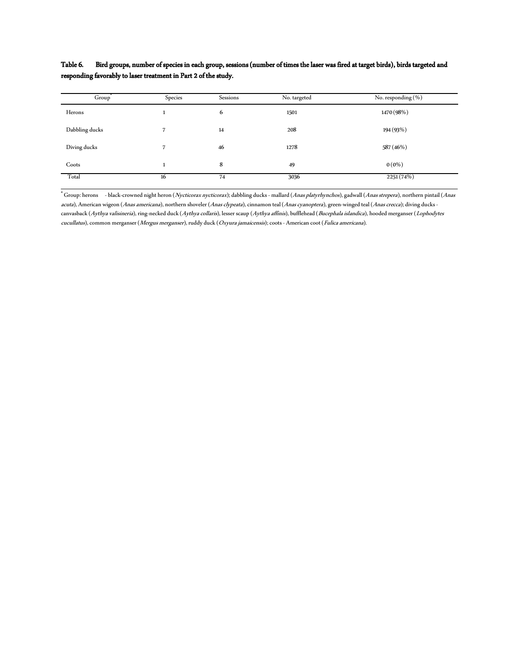Table 6. Bird groups, number of species in each group, sessions (number of times the laser was fired at target birds), birds targeted and responding favorably to laser treatment in Part 2 of the study.

| Group"         | Species | Sessions | No. targeted | No. responding $(\%)$ |
|----------------|---------|----------|--------------|-----------------------|
| Herons         |         | 6        | 1501         | 1470 (98%)            |
| Dabbling ducks |         | 14       | 208          | 194 (93%)             |
| Diving ducks   |         | 46       | 1278         | 587 (46%)             |
| Coots          | л.      | 8        | 49           | $0(0\%)$              |
| Total          | 16      | 74       | 3036         | 2251(74%)             |

<sup>a</sup> Group: herons - black-crowned night heron (*Nycticorax nycticorax*); dabbling ducks - mallard (*Anas platyrhynchos*), gadwall (*Anas strepera*), northern pintail (*Anas* acuta), American wigeon (Anas americana), northern shoveler (Anas clypeata), cinnamon teal (Anas cyanoptera), green-winged teal (Anas crecca); diving ducks canvasback (Aythya valisineria), ring-necked duck (Aythya collaris), lesser scaup (Aythya affinis), bufflehead (Bucephala islandica), hooded merganser (Lophodytes cucullatus), common merganser (Mergus merganser), ruddy duck (Oxyura jamaicensis); coots - American coot (Fulica americana).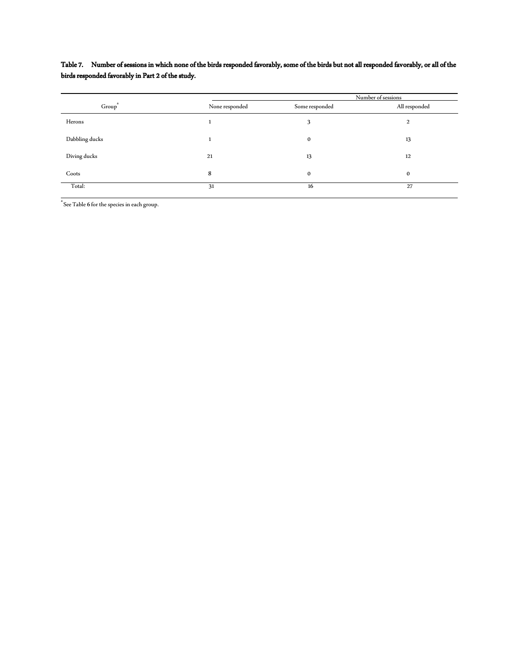## Table 7. Number of sessions in which none of the birds responded favorably, some of the birds but not all responded favorably, or all of the birds responded favorably in Part 2 of the study.

|                    |                | Number of sessions |               |  |
|--------------------|----------------|--------------------|---------------|--|
| Group <sup>®</sup> | None responded | Some responded     | All responded |  |
| Herons             |                | 3                  | 2             |  |
| Dabbling ducks     |                | $\bf{0}$           | 13            |  |
| Diving ducks       | 21             | 13                 | 12            |  |
| Coots              | 8              | $\bf{0}$           | $\bf{0}$      |  |
| Total:             | 31             | 16                 | 27            |  |

 $\rm{a}^a$  See Table 6 for the species in each group.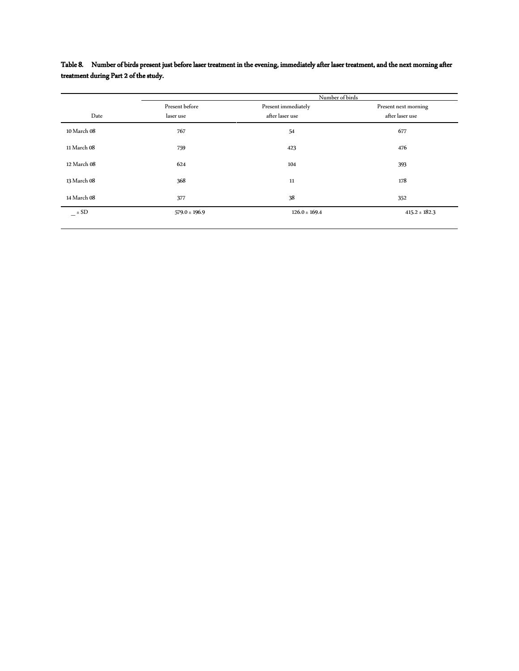|             |                             | Number of birds                        |                                         |  |
|-------------|-----------------------------|----------------------------------------|-----------------------------------------|--|
| Date        | Present before<br>laser use | Present immediately<br>after laser use | Present next morning<br>after laser use |  |
| 10 March 08 | 767                         | 54                                     | 677                                     |  |
| 11 March 08 | 759                         | 423                                    | 476                                     |  |
| 12 March 08 | 624                         | 104                                    | 393                                     |  |
| 13 March 08 | 368                         | 11                                     | 178                                     |  |
| 14 March 08 | 377                         | 38                                     | 352                                     |  |
| $ \pm$ SD   | $579.0 \pm 196.9$           | $126.0 \pm 169.4$                      | $415.2 \pm 182.3$                       |  |

Table 8. Number of birds present just before laser treatment in the evening, immediately after laser treatment, and the next morning after treatment during Part 2 of the study.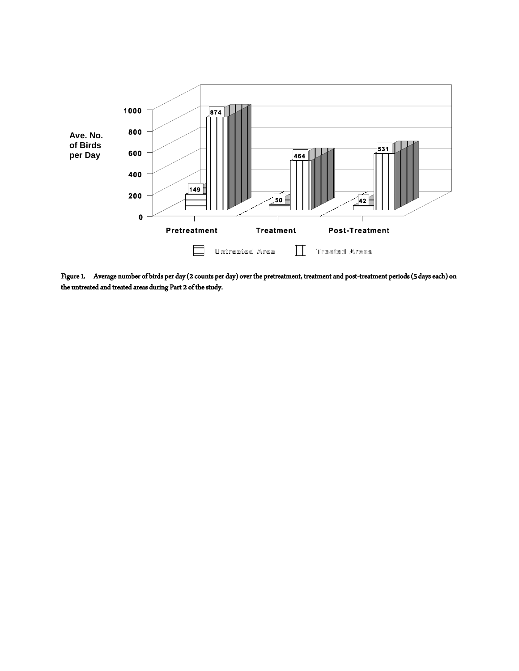

Figure 1. Average number of birds per day (2 counts per day) over the pretreatment, treatment and post-treatment periods (5 days each) on the untreated and treated areas during Part 2 of the study.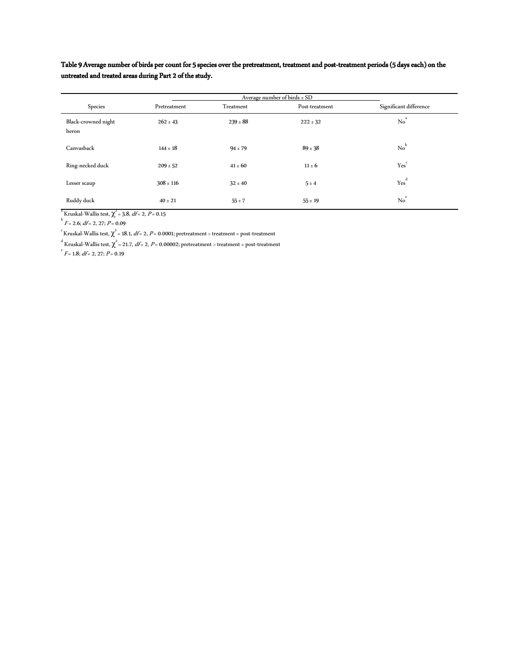Table 9 Average number of birds per count for 5 species over the pretreatment, treatment and post-treatment periods (5 days each) on the untreated and treated areas during Part 2 of the study.

|                              | Average number of birds $\pm$ SD |              |                |                        |
|------------------------------|----------------------------------|--------------|----------------|------------------------|
| Species                      | Pretreatment                     | Treatment    | Post-treatment | Significant difference |
| Black-crowned night<br>heron | $262 \pm 43$                     | $239 \pm 88$ | $222 \pm 32$   | No <sup>a</sup>        |
| Canvasback                   | $144 \pm 18$                     | $94 \pm 79$  | $89 \pm 38$    | $No^b$                 |
| Ring-necked duck             | $209 \pm 52$                     | $41 \pm 60$  | $11 \pm 6$     | Yes <sup>c</sup>       |
| Lesser scaup                 | $308 \pm 116$                    | $32 \pm 40$  | $5 \pm 4$      | $Yes^d$                |
| Ruddy duck                   | $40 \pm 21$                      | $55 \pm 7$   | $55 \pm 19$    | $No^e$                 |

<sup>a</sup> Kruskal-Wallis test,  $\chi^2$  = 3.8, *df* = 2, *P* = 0.15<br><sup>b</sup> *F* = 2.6; *df* = 2, 27; *P* = 0.09

 $\int_{0}^{c}$ Kruskal-Wallis test,  $\chi^{2}$  = 18.1, *df* = 2, *P* = 0.0001; pretreatment > treatment = post-treatment

<sup>d</sup> Kruskal-Wallis test,  $\chi^2$  = 21.7, *df* = 2, *P* = 0.00002; pretreatment > treatment = post-treatment  $\epsilon$ <sup>e</sup> *F* = 1.8; *df* = 2, 27; *P* = 0.19